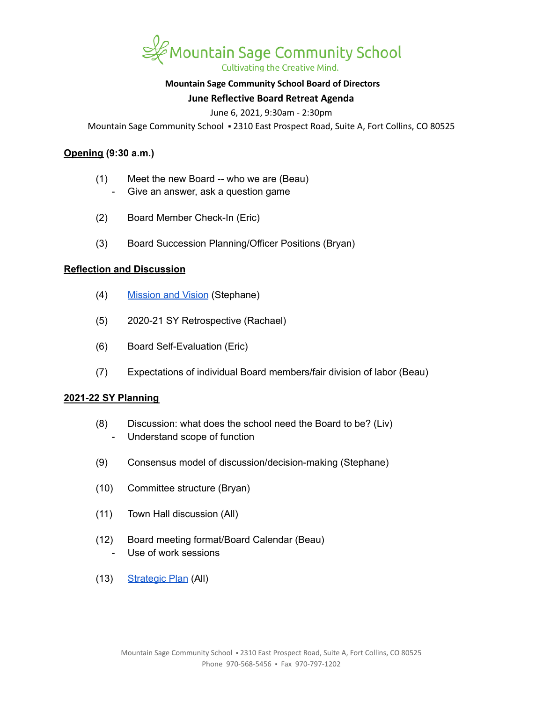

#### **Mountain Sage Community School Board of Directors**

#### **June Reflective Board Retreat Agenda**

June 6, 2021, 9:30am - 2:30pm

Mountain Sage Community School • 2310 East Prospect Road, Suite A, Fort Collins, CO 80525

### **Opening (9:30 a.m.)**

- (1) Meet the new Board -- who we are (Beau)
	- Give an answer, ask a question game
- (2) Board Member Check-In (Eric)
- (3) Board Succession Planning/Officer Positions (Bryan)

### **Reflection and Discussion**

- (4) [Mission](https://www.mountainsage.org/mission-and-vision.html) and Vision (Stephane)
- (5) 2020-21 SY Retrospective (Rachael)
- (6) Board Self-Evaluation (Eric)
- (7) Expectations of individual Board members/fair division of labor (Beau)

#### **2021-22 SY Planning**

- (8) Discussion: what does the school need the Board to be? (Liv) - Understand scope of function
- (9) Consensus model of discussion/decision-making (Stephane)
- (10) Committee structure (Bryan)
- (11) Town Hall discussion (All)
- (12) Board meeting format/Board Calendar (Beau) Use of work sessions
- (13) [Strategic](https://drive.google.com/file/d/1bIEAL8S8NnDx9PPJRR79h1dLsXFMCh-t/view) Plan (All)